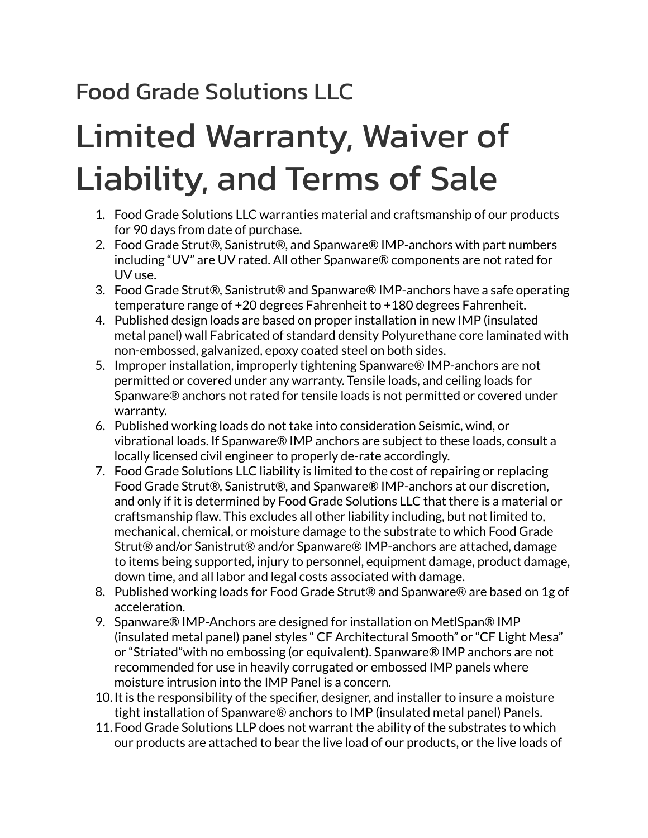## Food Grade Solutions LLC

## Limited Warranty, Waiver of Liability, and Terms of Sale

- 1. Food Grade Solutions LLC warranties material and craftsmanship of our products for 90 days from date of purchase.
- 2. Food Grade Strut®, Sanistrut®, and Spanware® IMP-anchors with part numbers including "UV" are UV rated. All other Spanware® components are not rated for UV use.
- 3. Food Grade Strut®, Sanistrut® and Spanware® IMP-anchors have a safe operating temperature range of +20 degrees Fahrenheit to +180 degrees Fahrenheit.
- 4. Published design loads are based on proper installation in new IMP (insulated metal panel) wall Fabricated of standard density Polyurethane core laminated with non-embossed, galvanized, epoxy coated steel on both sides.
- 5. Improper installation, improperly tightening Spanware® IMP-anchors are not permitted or covered under any warranty. Tensile loads, and ceiling loads for Spanware® anchors not rated for tensile loads is not permitted or covered under warranty.
- 6. Published working loads do not take into consideration Seismic, wind, or vibrational loads. If Spanware® IMP anchors are subject to these loads, consult a locally licensed civil engineer to properly de-rate accordingly.
- 7. Food Grade Solutions LLC liability is limited to the cost of repairing or replacing Food Grade Strut®, Sanistrut®, and Spanware® IMP-anchors at our discretion, and only if it is determined by Food Grade Solutions LLC that there is a material or craftsmanship flaw. This excludes all other liability including, but not limited to, mechanical, chemical, or moisture damage to the substrate to which Food Grade Strut® and/or Sanistrut® and/or Spanware® IMP-anchors are attached, damage to items being supported, injury to personnel, equipment damage, product damage, down time, and all labor and legal costs associated with damage.
- 8. Published working loads for Food Grade Strut® and Spanware® are based on 1g of acceleration.
- 9. Spanware® IMP-Anchors are designed for installation on MetlSpan® IMP (insulated metal panel) panel styles " CF Architectural Smooth" or "CF Light Mesa" or "Striated"with no embossing (or equivalent). Spanware® IMP anchors are not recommended for use in heavily corrugated or embossed IMP panels where moisture intrusion into the IMP Panel is a concern.
- 10.It is the responsibility of the specifier, designer, and installer to insure a moisture tight installation of Spanware® anchors to IMP (insulated metal panel) Panels.
- 11.Food Grade Solutions LLP does not warrant the ability of the substrates to which our products are attached to bear the live load of our products, or the live loads of